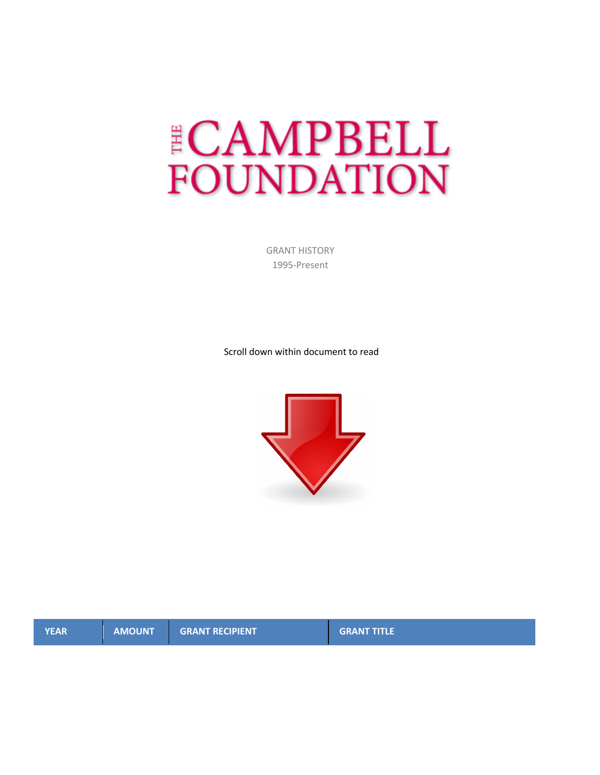## **ECAMPBELL FOUNDATION**

GRANT HISTORY 1995-Present

Scroll down within document to read



**YEAR AMOUNT GRANT RECIPIENT GRANT TITLE**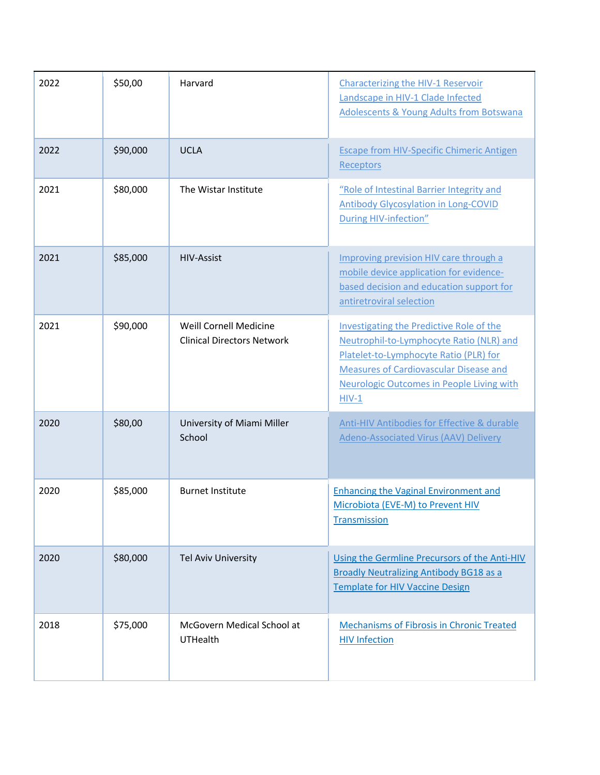| 2022 | \$50,00  | Harvard                                                     | <b>Characterizing the HIV-1 Reservoir</b><br>Landscape in HIV-1 Clade Infected<br><b>Adolescents &amp; Young Adults from Botswana</b>                                                                                                                 |
|------|----------|-------------------------------------------------------------|-------------------------------------------------------------------------------------------------------------------------------------------------------------------------------------------------------------------------------------------------------|
| 2022 | \$90,000 | <b>UCLA</b>                                                 | <b>Escape from HIV-Specific Chimeric Antigen</b><br>Receptors                                                                                                                                                                                         |
| 2021 | \$80,000 | The Wistar Institute                                        | "Role of Intestinal Barrier Integrity and<br><b>Antibody Glycosylation in Long-COVID</b><br>During HIV-infection"                                                                                                                                     |
| 2021 | \$85,000 | <b>HIV-Assist</b>                                           | Improving prevision HIV care through a<br>mobile device application for evidence-<br>based decision and education support for<br>antiretroviral selection                                                                                             |
| 2021 | \$90,000 | Weill Cornell Medicine<br><b>Clinical Directors Network</b> | <b>Investigating the Predictive Role of the</b><br>Neutrophil-to-Lymphocyte Ratio (NLR) and<br>Platelet-to-Lymphocyte Ratio (PLR) for<br><b>Measures of Cardiovascular Disease and</b><br><b>Neurologic Outcomes in People Living with</b><br>$HIV-1$ |
| 2020 | \$80,00  | University of Miami Miller<br>School                        | <b>Anti-HIV Antibodies for Effective &amp; durable</b><br><b>Adeno-Associated Virus (AAV) Delivery</b>                                                                                                                                                |
| 2020 | \$85,000 | <b>Burnet Institute</b>                                     | Enhancing the Vaginal Environment and<br>Microbiota (EVE-M) to Prevent HIV<br>Transmission                                                                                                                                                            |
| 2020 | \$80,000 | Tel Aviv University                                         | Using the Germline Precursors of the Anti-HIV<br><b>Broadly Neutralizing Antibody BG18 as a</b><br><b>Template for HIV Vaccine Design</b>                                                                                                             |
| 2018 | \$75,000 | McGovern Medical School at<br><b>UTHealth</b>               | Mechanisms of Fibrosis in Chronic Treated<br><b>HIV Infection</b>                                                                                                                                                                                     |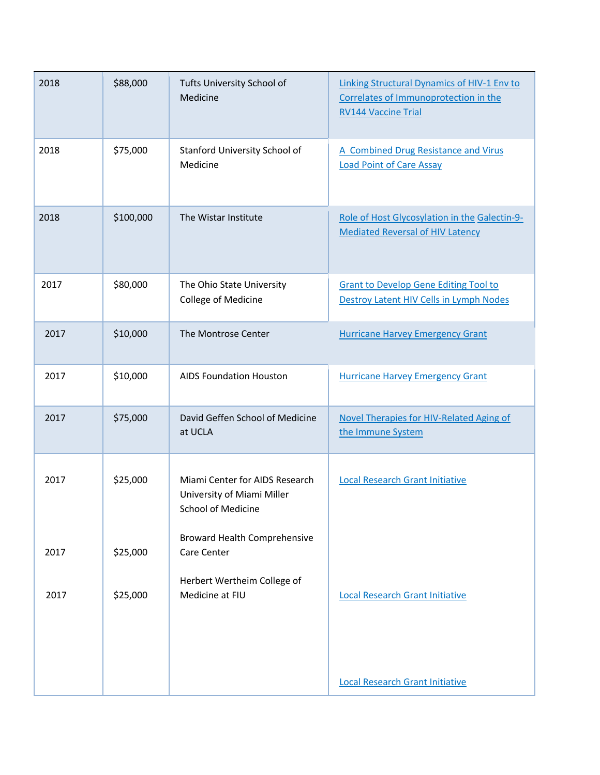| 2018 | \$88,000  | Tufts University School of<br>Medicine                                             | <b>Linking Structural Dynamics of HIV-1 Env to</b><br>Correlates of Immunoprotection in the<br><b>RV144 Vaccine Trial</b> |
|------|-----------|------------------------------------------------------------------------------------|---------------------------------------------------------------------------------------------------------------------------|
| 2018 | \$75,000  | Stanford University School of<br>Medicine                                          | A Combined Drug Resistance and Virus<br><b>Load Point of Care Assay</b>                                                   |
| 2018 | \$100,000 | The Wistar Institute                                                               | Role of Host Glycosylation in the Galectin-9-<br><b>Mediated Reversal of HIV Latency</b>                                  |
| 2017 | \$80,000  | The Ohio State University<br>College of Medicine                                   | <b>Grant to Develop Gene Editing Tool to</b><br>Destroy Latent HIV Cells in Lymph Nodes                                   |
| 2017 | \$10,000  | The Montrose Center                                                                | <b>Hurricane Harvey Emergency Grant</b>                                                                                   |
| 2017 | \$10,000  | <b>AIDS Foundation Houston</b>                                                     | <b>Hurricane Harvey Emergency Grant</b>                                                                                   |
| 2017 | \$75,000  | David Geffen School of Medicine<br>at UCLA                                         | <b>Novel Therapies for HIV-Related Aging of</b><br>the Immune System                                                      |
| 2017 | \$25,000  | Miami Center for AIDS Research<br>University of Miami Miller<br>School of Medicine | <b>Local Research Grant Initiative</b>                                                                                    |
| 2017 | \$25,000  | <b>Broward Health Comprehensive</b><br>Care Center                                 |                                                                                                                           |
| 2017 | \$25,000  | Herbert Wertheim College of<br>Medicine at FIU                                     | <b>Local Research Grant Initiative</b>                                                                                    |
|      |           |                                                                                    | <b>Local Research Grant Initiative</b>                                                                                    |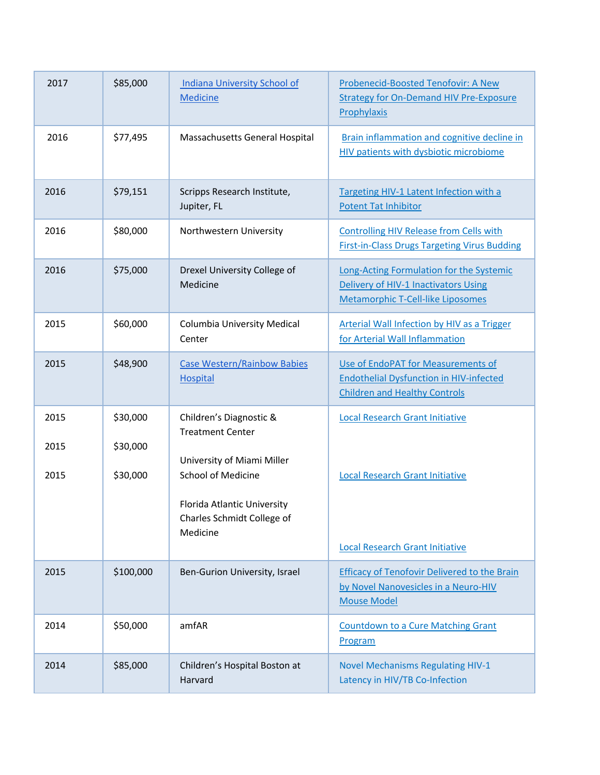| 2017                 | \$85,000                         | Indiana University School of<br>Medicine                                                                                                                                               | Probenecid-Boosted Tenofovir: A New<br><b>Strategy for On-Demand HIV Pre-Exposure</b><br>Prophylaxis                         |
|----------------------|----------------------------------|----------------------------------------------------------------------------------------------------------------------------------------------------------------------------------------|------------------------------------------------------------------------------------------------------------------------------|
| 2016                 | \$77,495                         | Massachusetts General Hospital                                                                                                                                                         | Brain inflammation and cognitive decline in<br>HIV patients with dysbiotic microbiome                                        |
| 2016                 | \$79,151                         | Scripps Research Institute,<br>Jupiter, FL                                                                                                                                             | Targeting HIV-1 Latent Infection with a<br><b>Potent Tat Inhibitor</b>                                                       |
| 2016                 | \$80,000                         | Northwestern University                                                                                                                                                                | <b>Controlling HIV Release from Cells with</b><br><b>First-in-Class Drugs Targeting Virus Budding</b>                        |
| 2016                 | \$75,000                         | Drexel University College of<br>Medicine                                                                                                                                               | Long-Acting Formulation for the Systemic<br>Delivery of HIV-1 Inactivators Using<br><b>Metamorphic T-Cell-like Liposomes</b> |
| 2015                 | \$60,000                         | Columbia University Medical<br>Center                                                                                                                                                  | <b>Arterial Wall Infection by HIV as a Trigger</b><br>for Arterial Wall Inflammation                                         |
| 2015                 | \$48,900                         | <b>Case Western/Rainbow Babies</b><br>Hospital                                                                                                                                         | Use of EndoPAT for Measurements of<br><b>Endothelial Dysfunction in HIV-infected</b><br><b>Children and Healthy Controls</b> |
| 2015<br>2015<br>2015 | \$30,000<br>\$30,000<br>\$30,000 | Children's Diagnostic &<br><b>Treatment Center</b><br>University of Miami Miller<br><b>School of Medicine</b><br>Florida Atlantic University<br>Charles Schmidt College of<br>Medicine | <b>Local Research Grant Initiative</b><br><b>Local Research Grant Initiative</b>                                             |
| 2015                 | \$100,000                        | Ben-Gurion University, Israel                                                                                                                                                          | <b>Local Research Grant Initiative</b><br><b>Efficacy of Tenofovir Delivered to the Brain</b>                                |
|                      |                                  |                                                                                                                                                                                        | by Novel Nanovesicles in a Neuro-HIV<br><b>Mouse Model</b>                                                                   |
| 2014                 | \$50,000                         | amfAR                                                                                                                                                                                  | <b>Countdown to a Cure Matching Grant</b><br>Program                                                                         |
| 2014                 | \$85,000                         | Children's Hospital Boston at<br>Harvard                                                                                                                                               | <b>Novel Mechanisms Regulating HIV-1</b><br>Latency in HIV/TB Co-Infection                                                   |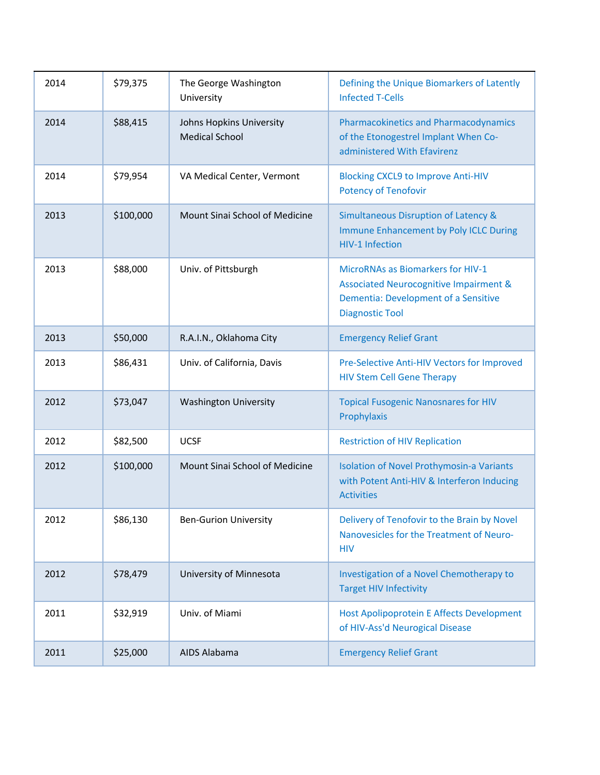| 2014 | \$79,375  | The George Washington<br>University               | Defining the Unique Biomarkers of Latently<br><b>Infected T-Cells</b>                                                                                |
|------|-----------|---------------------------------------------------|------------------------------------------------------------------------------------------------------------------------------------------------------|
| 2014 | \$88,415  | Johns Hopkins University<br><b>Medical School</b> | <b>Pharmacokinetics and Pharmacodynamics</b><br>of the Etonogestrel Implant When Co-<br>administered With Efavirenz                                  |
| 2014 | \$79,954  | VA Medical Center, Vermont                        | <b>Blocking CXCL9 to Improve Anti-HIV</b><br><b>Potency of Tenofovir</b>                                                                             |
| 2013 | \$100,000 | Mount Sinai School of Medicine                    | Simultaneous Disruption of Latency &<br><b>Immune Enhancement by Poly ICLC During</b><br><b>HIV-1 Infection</b>                                      |
| 2013 | \$88,000  | Univ. of Pittsburgh                               | <b>MicroRNAs as Biomarkers for HIV-1</b><br>Associated Neurocognitive Impairment &<br>Dementia: Development of a Sensitive<br><b>Diagnostic Tool</b> |
| 2013 | \$50,000  | R.A.I.N., Oklahoma City                           | <b>Emergency Relief Grant</b>                                                                                                                        |
| 2013 | \$86,431  | Univ. of California, Davis                        | Pre-Selective Anti-HIV Vectors for Improved<br><b>HIV Stem Cell Gene Therapy</b>                                                                     |
| 2012 | \$73,047  | <b>Washington University</b>                      | <b>Topical Fusogenic Nanosnares for HIV</b><br>Prophylaxis                                                                                           |
| 2012 | \$82,500  | <b>UCSF</b>                                       | <b>Restriction of HIV Replication</b>                                                                                                                |
| 2012 | \$100,000 | Mount Sinai School of Medicine                    | <b>Isolation of Novel Prothymosin-a Variants</b><br>with Potent Anti-HIV & Interferon Inducing<br><b>Activities</b>                                  |
| 2012 | \$86,130  | <b>Ben-Gurion University</b>                      | Delivery of Tenofovir to the Brain by Novel<br>Nanovesicles for the Treatment of Neuro-<br><b>HIV</b>                                                |
| 2012 | \$78,479  | University of Minnesota                           | Investigation of a Novel Chemotherapy to<br><b>Target HIV Infectivity</b>                                                                            |
| 2011 | \$32,919  | Univ. of Miami                                    | Host Apolipoprotein E Affects Development<br>of HIV-Ass'd Neurogical Disease                                                                         |
| 2011 | \$25,000  | AIDS Alabama                                      | <b>Emergency Relief Grant</b>                                                                                                                        |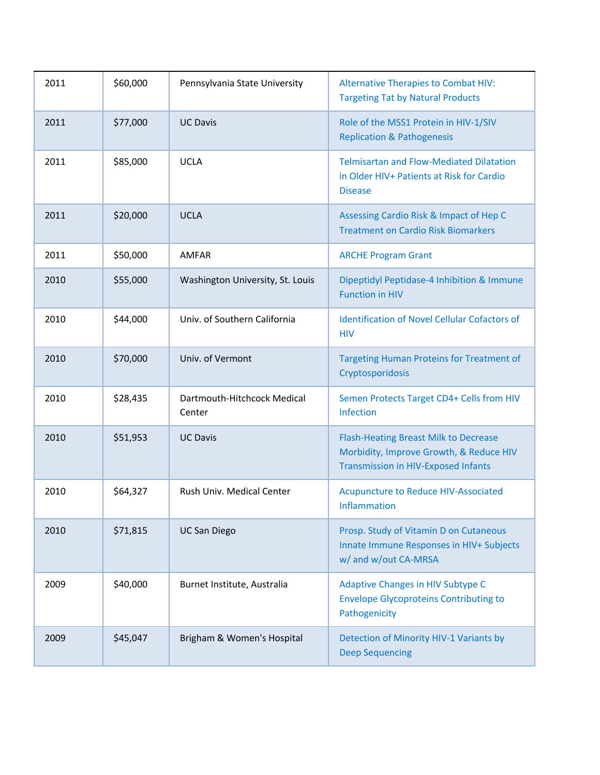| 2011 | \$60,000 | Pennsylvania State University         | Alternative Therapies to Combat HIV:<br><b>Targeting Tat by Natural Products</b>                                                      |
|------|----------|---------------------------------------|---------------------------------------------------------------------------------------------------------------------------------------|
| 2011 | \$77,000 | <b>UC Davis</b>                       | Role of the MSS1 Protein in HIV-1/SIV<br><b>Replication &amp; Pathogenesis</b>                                                        |
| 2011 | \$85,000 | <b>UCLA</b>                           | <b>Telmisartan and Flow-Mediated Dilatation</b><br>in Older HIV+ Patients at Risk for Cardio<br><b>Disease</b>                        |
| 2011 | \$20,000 | <b>UCLA</b>                           | Assessing Cardio Risk & Impact of Hep C<br><b>Treatment on Cardio Risk Biomarkers</b>                                                 |
| 2011 | \$50,000 | <b>AMFAR</b>                          | <b>ARCHE Program Grant</b>                                                                                                            |
| 2010 | \$55,000 | Washington University, St. Louis      | Dipeptidyl Peptidase-4 Inhibition & Immune<br><b>Function in HIV</b>                                                                  |
| 2010 | \$44,000 | Univ. of Southern California          | <b>Identification of Novel Cellular Cofactors of</b><br><b>HIV</b>                                                                    |
| 2010 | \$70,000 | Univ. of Vermont                      | <b>Targeting Human Proteins for Treatment of</b><br>Cryptosporidosis                                                                  |
| 2010 | \$28,435 | Dartmouth-Hitchcock Medical<br>Center | Semen Protects Target CD4+ Cells from HIV<br><b>Infection</b>                                                                         |
| 2010 | \$51,953 | <b>UC Davis</b>                       | <b>Flash-Heating Breast Milk to Decrease</b><br>Morbidity, Improve Growth, & Reduce HIV<br><b>Transmission in HIV-Exposed Infants</b> |
| 2010 | \$64,327 | Rush Univ. Medical Center             | Acupuncture to Reduce HIV-Associated<br>Inflammation                                                                                  |
| 2010 | \$71,815 | <b>UC San Diego</b>                   | Prosp. Study of Vitamin D on Cutaneous<br>Innate Immune Responses in HIV+ Subjects<br>w/ and w/out CA-MRSA                            |
| 2009 | \$40,000 | Burnet Institute, Australia           | Adaptive Changes in HIV Subtype C<br><b>Envelope Glycoproteins Contributing to</b><br>Pathogenicity                                   |
| 2009 | \$45,047 | Brigham & Women's Hospital            | Detection of Minority HIV-1 Variants by<br><b>Deep Sequencing</b>                                                                     |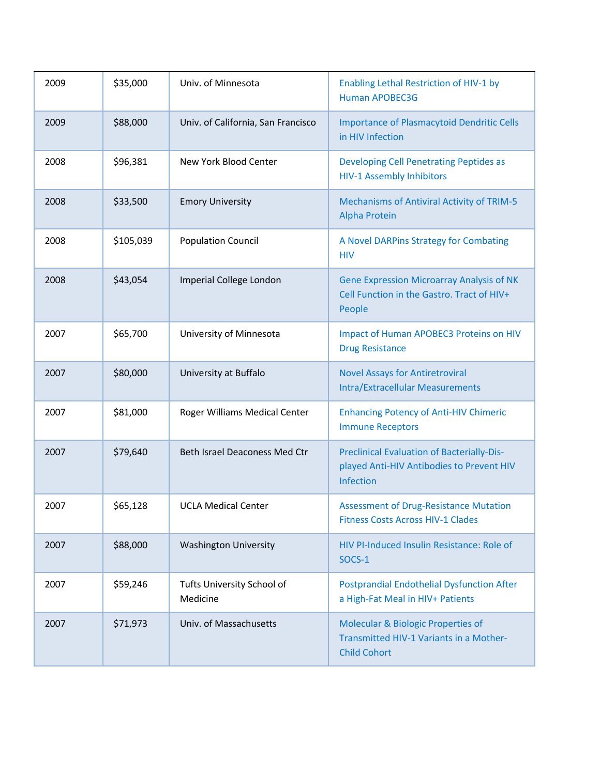| 2009 | \$35,000  | Univ. of Minnesota                     | Enabling Lethal Restriction of HIV-1 by<br><b>Human APOBEC3G</b>                                            |
|------|-----------|----------------------------------------|-------------------------------------------------------------------------------------------------------------|
| 2009 | \$88,000  | Univ. of California, San Francisco     | <b>Importance of Plasmacytoid Dendritic Cells</b><br>in HIV Infection                                       |
| 2008 | \$96,381  | New York Blood Center                  | Developing Cell Penetrating Peptides as<br><b>HIV-1 Assembly Inhibitors</b>                                 |
| 2008 | \$33,500  | <b>Emory University</b>                | <b>Mechanisms of Antiviral Activity of TRIM-5</b><br><b>Alpha Protein</b>                                   |
| 2008 | \$105,039 | <b>Population Council</b>              | A Novel DARPins Strategy for Combating<br><b>HIV</b>                                                        |
| 2008 | \$43,054  | Imperial College London                | <b>Gene Expression Microarray Analysis of NK</b><br>Cell Function in the Gastro. Tract of HIV+<br>People    |
| 2007 | \$65,700  | University of Minnesota                | Impact of Human APOBEC3 Proteins on HIV<br><b>Drug Resistance</b>                                           |
| 2007 | \$80,000  | University at Buffalo                  | <b>Novel Assays for Antiretroviral</b><br><b>Intra/Extracellular Measurements</b>                           |
| 2007 | \$81,000  | Roger Williams Medical Center          | <b>Enhancing Potency of Anti-HIV Chimeric</b><br><b>Immune Receptors</b>                                    |
| 2007 | \$79,640  | Beth Israel Deaconess Med Ctr          | <b>Preclinical Evaluation of Bacterially-Dis-</b><br>played Anti-HIV Antibodies to Prevent HIV<br>Infection |
| 2007 | \$65,128  | <b>UCLA Medical Center</b>             | <b>Assessment of Drug-Resistance Mutation</b><br><b>Fitness Costs Across HIV-1 Clades</b>                   |
| 2007 | \$88,000  | <b>Washington University</b>           | HIV PI-Induced Insulin Resistance: Role of<br>SOCS-1                                                        |
| 2007 | \$59,246  | Tufts University School of<br>Medicine | <b>Postprandial Endothelial Dysfunction After</b><br>a High-Fat Meal in HIV+ Patients                       |
| 2007 | \$71,973  | Univ. of Massachusetts                 | Molecular & Biologic Properties of<br>Transmitted HIV-1 Variants in a Mother-<br><b>Child Cohort</b>        |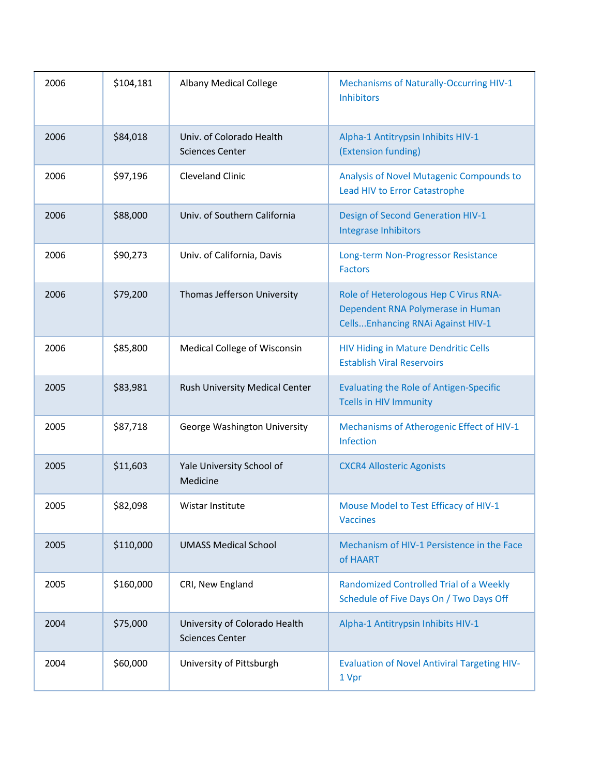| 2006 | \$104,181 | <b>Albany Medical College</b>                           | <b>Mechanisms of Naturally-Occurring HIV-1</b><br><b>Inhibitors</b>                                              |
|------|-----------|---------------------------------------------------------|------------------------------------------------------------------------------------------------------------------|
| 2006 | \$84,018  | Univ. of Colorado Health<br><b>Sciences Center</b>      | Alpha-1 Antitrypsin Inhibits HIV-1<br>(Extension funding)                                                        |
| 2006 | \$97,196  | <b>Cleveland Clinic</b>                                 | Analysis of Novel Mutagenic Compounds to<br>Lead HIV to Error Catastrophe                                        |
| 2006 | \$88,000  | Univ. of Southern California                            | Design of Second Generation HIV-1<br>Integrase Inhibitors                                                        |
| 2006 | \$90,273  | Univ. of California, Davis                              | Long-term Non-Progressor Resistance<br><b>Factors</b>                                                            |
| 2006 | \$79,200  | Thomas Jefferson University                             | Role of Heterologous Hep C Virus RNA-<br>Dependent RNA Polymerase in Human<br>Cells Enhancing RNAi Against HIV-1 |
| 2006 | \$85,800  | Medical College of Wisconsin                            | <b>HIV Hiding in Mature Dendritic Cells</b><br><b>Establish Viral Reservoirs</b>                                 |
| 2005 | \$83,981  | Rush University Medical Center                          | <b>Evaluating the Role of Antigen-Specific</b><br><b>Tcells in HIV Immunity</b>                                  |
| 2005 | \$87,718  | George Washington University                            | Mechanisms of Atherogenic Effect of HIV-1<br>Infection                                                           |
| 2005 | \$11,603  | Yale University School of<br>Medicine                   | <b>CXCR4 Allosteric Agonists</b>                                                                                 |
| 2005 | \$82,098  | Wistar Institute                                        | Mouse Model to Test Efficacy of HIV-1<br><b>Vaccines</b>                                                         |
| 2005 | \$110,000 | <b>UMASS Medical School</b>                             | Mechanism of HIV-1 Persistence in the Face<br>of HAART                                                           |
| 2005 | \$160,000 | CRI, New England                                        | Randomized Controlled Trial of a Weekly<br>Schedule of Five Days On / Two Days Off                               |
| 2004 | \$75,000  | University of Colorado Health<br><b>Sciences Center</b> | Alpha-1 Antitrypsin Inhibits HIV-1                                                                               |
| 2004 | \$60,000  | University of Pittsburgh                                | <b>Evaluation of Novel Antiviral Targeting HIV-</b><br>1 Vpr                                                     |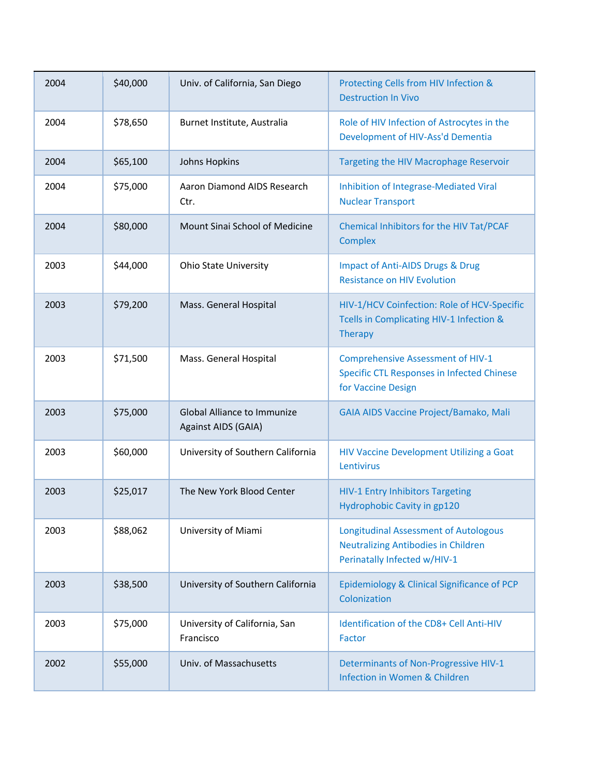| 2004 | \$40,000 | Univ. of California, San Diego                     | Protecting Cells from HIV Infection &<br><b>Destruction In Vivo</b>                                                        |
|------|----------|----------------------------------------------------|----------------------------------------------------------------------------------------------------------------------------|
| 2004 | \$78,650 | Burnet Institute, Australia                        | Role of HIV Infection of Astrocytes in the<br>Development of HIV-Ass'd Dementia                                            |
| 2004 | \$65,100 | <b>Johns Hopkins</b>                               | Targeting the HIV Macrophage Reservoir                                                                                     |
| 2004 | \$75,000 | Aaron Diamond AIDS Research<br>Ctr.                | <b>Inhibition of Integrase-Mediated Viral</b><br><b>Nuclear Transport</b>                                                  |
| 2004 | \$80,000 | Mount Sinai School of Medicine                     | Chemical Inhibitors for the HIV Tat/PCAF<br><b>Complex</b>                                                                 |
| 2003 | \$44,000 | <b>Ohio State University</b>                       | Impact of Anti-AIDS Drugs & Drug<br><b>Resistance on HIV Evolution</b>                                                     |
| 2003 | \$79,200 | Mass. General Hospital                             | HIV-1/HCV Coinfection: Role of HCV-Specific<br>Tcells in Complicating HIV-1 Infection &<br><b>Therapy</b>                  |
| 2003 | \$71,500 | Mass. General Hospital                             | <b>Comprehensive Assessment of HIV-1</b><br>Specific CTL Responses in Infected Chinese<br>for Vaccine Design               |
| 2003 | \$75,000 | Global Alliance to Immunize<br>Against AIDS (GAIA) | GAIA AIDS Vaccine Project/Bamako, Mali                                                                                     |
| 2003 | \$60,000 | University of Southern California                  | <b>HIV Vaccine Development Utilizing a Goat</b><br>Lentivirus                                                              |
| 2003 | \$25,017 | The New York Blood Center                          | <b>HIV-1 Entry Inhibitors Targeting</b><br>Hydrophobic Cavity in gp120                                                     |
| 2003 | \$88,062 | University of Miami                                | <b>Longitudinal Assessment of Autologous</b><br><b>Neutralizing Antibodies in Children</b><br>Perinatally Infected w/HIV-1 |
| 2003 | \$38,500 | University of Southern California                  | Epidemiology & Clinical Significance of PCP<br>Colonization                                                                |
| 2003 | \$75,000 | University of California, San<br>Francisco         | Identification of the CD8+ Cell Anti-HIV<br>Factor                                                                         |
| 2002 | \$55,000 | Univ. of Massachusetts                             | <b>Determinants of Non-Progressive HIV-1</b><br>Infection in Women & Children                                              |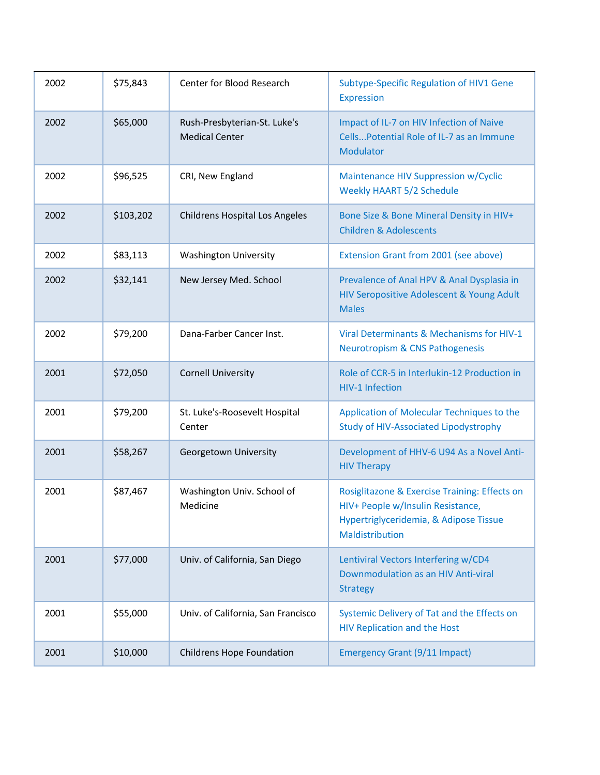| 2002 | \$75,843  | Center for Blood Research                             | Subtype-Specific Regulation of HIV1 Gene<br><b>Expression</b>                                                                                   |
|------|-----------|-------------------------------------------------------|-------------------------------------------------------------------------------------------------------------------------------------------------|
| 2002 | \$65,000  | Rush-Presbyterian-St. Luke's<br><b>Medical Center</b> | Impact of IL-7 on HIV Infection of Naive<br>Cells Potential Role of IL-7 as an Immune<br>Modulator                                              |
| 2002 | \$96,525  | CRI, New England                                      | Maintenance HIV Suppression w/Cyclic<br><b>Weekly HAART 5/2 Schedule</b>                                                                        |
| 2002 | \$103,202 | <b>Childrens Hospital Los Angeles</b>                 | Bone Size & Bone Mineral Density in HIV+<br><b>Children &amp; Adolescents</b>                                                                   |
| 2002 | \$83,113  | <b>Washington University</b>                          | Extension Grant from 2001 (see above)                                                                                                           |
| 2002 | \$32,141  | New Jersey Med. School                                | Prevalence of Anal HPV & Anal Dysplasia in<br>HIV Seropositive Adolescent & Young Adult<br><b>Males</b>                                         |
| 2002 | \$79,200  | Dana-Farber Cancer Inst.                              | Viral Determinants & Mechanisms for HIV-1<br><b>Neurotropism &amp; CNS Pathogenesis</b>                                                         |
| 2001 | \$72,050  | <b>Cornell University</b>                             | Role of CCR-5 in Interlukin-12 Production in<br><b>HIV-1 Infection</b>                                                                          |
| 2001 | \$79,200  | St. Luke's-Roosevelt Hospital<br>Center               | Application of Molecular Techniques to the<br>Study of HIV-Associated Lipodystrophy                                                             |
| 2001 | \$58,267  | Georgetown University                                 | Development of HHV-6 U94 As a Novel Anti-<br><b>HIV Therapy</b>                                                                                 |
| 2001 | \$87,467  | Washington Univ. School of<br>Medicine                | Rosiglitazone & Exercise Training: Effects on<br>HIV+ People w/Insulin Resistance,<br>Hypertriglyceridemia, & Adipose Tissue<br>Maldistribution |
| 2001 | \$77,000  | Univ. of California, San Diego                        | Lentiviral Vectors Interfering w/CD4<br>Downmodulation as an HIV Anti-viral<br><b>Strategy</b>                                                  |
| 2001 | \$55,000  | Univ. of California, San Francisco                    | Systemic Delivery of Tat and the Effects on<br><b>HIV Replication and the Host</b>                                                              |
| 2001 | \$10,000  | <b>Childrens Hope Foundation</b>                      | <b>Emergency Grant (9/11 Impact)</b>                                                                                                            |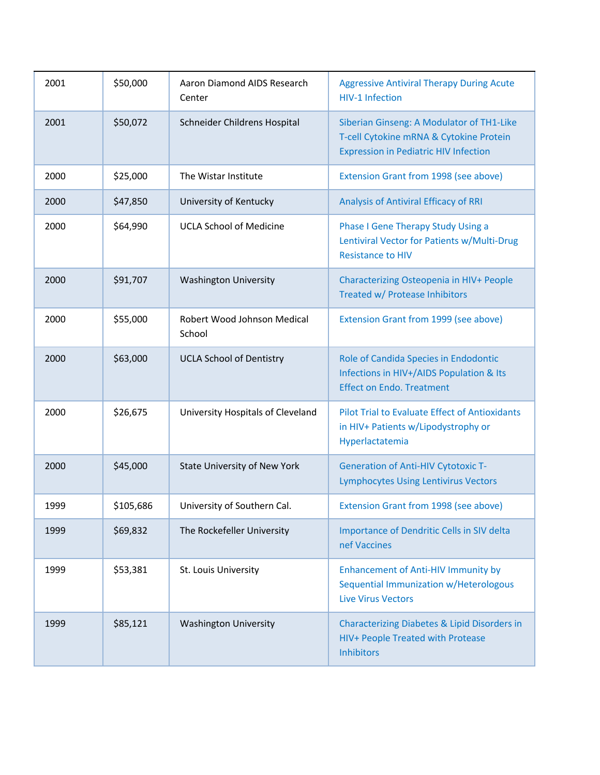| 2001 | \$50,000  | Aaron Diamond AIDS Research<br>Center | <b>Aggressive Antiviral Therapy During Acute</b><br><b>HIV-1 Infection</b>                                                           |
|------|-----------|---------------------------------------|--------------------------------------------------------------------------------------------------------------------------------------|
| 2001 | \$50,072  | Schneider Childrens Hospital          | Siberian Ginseng: A Modulator of TH1-Like<br>T-cell Cytokine mRNA & Cytokine Protein<br><b>Expression in Pediatric HIV Infection</b> |
| 2000 | \$25,000  | The Wistar Institute                  | Extension Grant from 1998 (see above)                                                                                                |
| 2000 | \$47,850  | University of Kentucky                | Analysis of Antiviral Efficacy of RRI                                                                                                |
| 2000 | \$64,990  | <b>UCLA School of Medicine</b>        | Phase I Gene Therapy Study Using a<br>Lentiviral Vector for Patients w/Multi-Drug<br><b>Resistance to HIV</b>                        |
| 2000 | \$91,707  | <b>Washington University</b>          | Characterizing Osteopenia in HIV+ People<br>Treated w/ Protease Inhibitors                                                           |
| 2000 | \$55,000  | Robert Wood Johnson Medical<br>School | Extension Grant from 1999 (see above)                                                                                                |
| 2000 | \$63,000  | <b>UCLA School of Dentistry</b>       | Role of Candida Species in Endodontic<br>Infections in HIV+/AIDS Population & Its<br><b>Effect on Endo. Treatment</b>                |
| 2000 | \$26,675  | University Hospitals of Cleveland     | <b>Pilot Trial to Evaluate Effect of Antioxidants</b><br>in HIV+ Patients w/Lipodystrophy or<br>Hyperlactatemia                      |
| 2000 | \$45,000  | State University of New York          | <b>Generation of Anti-HIV Cytotoxic T-</b><br><b>Lymphocytes Using Lentivirus Vectors</b>                                            |
| 1999 | \$105,686 | University of Southern Cal.           | Extension Grant from 1998 (see above)                                                                                                |
| 1999 | \$69,832  | The Rockefeller University            | Importance of Dendritic Cells in SIV delta<br>nef Vaccines                                                                           |
| 1999 | \$53,381  | St. Louis University                  | <b>Enhancement of Anti-HIV Immunity by</b><br>Sequential Immunization w/Heterologous<br><b>Live Virus Vectors</b>                    |
| 1999 | \$85,121  | <b>Washington University</b>          | Characterizing Diabetes & Lipid Disorders in<br>HIV+ People Treated with Protease<br><b>Inhibitors</b>                               |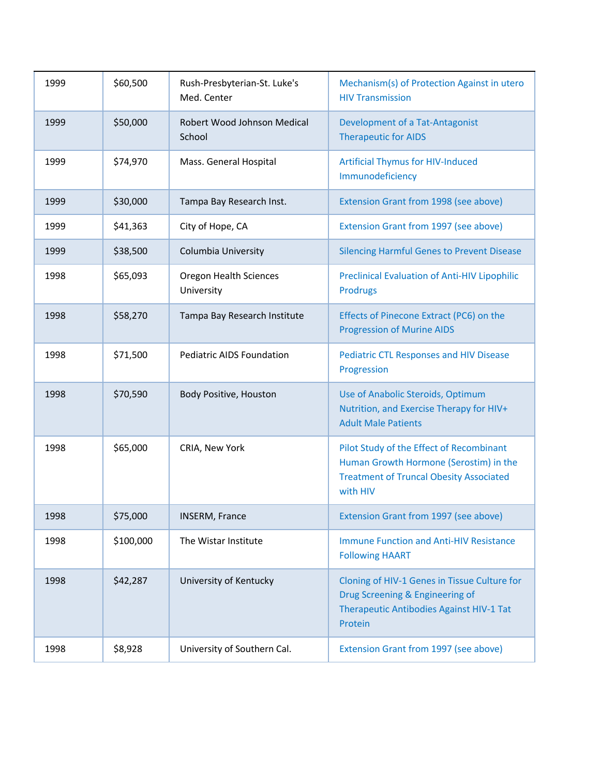| 1999 | \$60,500  | Rush-Presbyterian-St. Luke's<br>Med. Center | Mechanism(s) of Protection Against in utero<br><b>HIV Transmission</b>                                                                           |
|------|-----------|---------------------------------------------|--------------------------------------------------------------------------------------------------------------------------------------------------|
| 1999 | \$50,000  | Robert Wood Johnson Medical<br>School       | Development of a Tat-Antagonist<br><b>Therapeutic for AIDS</b>                                                                                   |
| 1999 | \$74,970  | Mass. General Hospital                      | <b>Artificial Thymus for HIV-Induced</b><br>Immunodeficiency                                                                                     |
| 1999 | \$30,000  | Tampa Bay Research Inst.                    | Extension Grant from 1998 (see above)                                                                                                            |
| 1999 | \$41,363  | City of Hope, CA                            | Extension Grant from 1997 (see above)                                                                                                            |
| 1999 | \$38,500  | Columbia University                         | <b>Silencing Harmful Genes to Prevent Disease</b>                                                                                                |
| 1998 | \$65,093  | <b>Oregon Health Sciences</b><br>University | <b>Preclinical Evaluation of Anti-HIV Lipophilic</b><br><b>Prodrugs</b>                                                                          |
| 1998 | \$58,270  | Tampa Bay Research Institute                | Effects of Pinecone Extract (PC6) on the<br><b>Progression of Murine AIDS</b>                                                                    |
| 1998 | \$71,500  | <b>Pediatric AIDS Foundation</b>            | <b>Pediatric CTL Responses and HIV Disease</b><br>Progression                                                                                    |
| 1998 | \$70,590  | Body Positive, Houston                      | Use of Anabolic Steroids, Optimum<br>Nutrition, and Exercise Therapy for HIV+<br><b>Adult Male Patients</b>                                      |
| 1998 | \$65,000  | CRIA, New York                              | Pilot Study of the Effect of Recombinant<br>Human Growth Hormone (Serostim) in the<br><b>Treatment of Truncal Obesity Associated</b><br>with HIV |
| 1998 | \$75,000  | <b>INSERM, France</b>                       | Extension Grant from 1997 (see above)                                                                                                            |
| 1998 | \$100,000 | The Wistar Institute                        | <b>Immune Function and Anti-HIV Resistance</b><br><b>Following HAART</b>                                                                         |
| 1998 | \$42,287  | University of Kentucky                      | Cloning of HIV-1 Genes in Tissue Culture for<br>Drug Screening & Engineering of<br>Therapeutic Antibodies Against HIV-1 Tat<br>Protein           |
| 1998 | \$8,928   | University of Southern Cal.                 | Extension Grant from 1997 (see above)                                                                                                            |